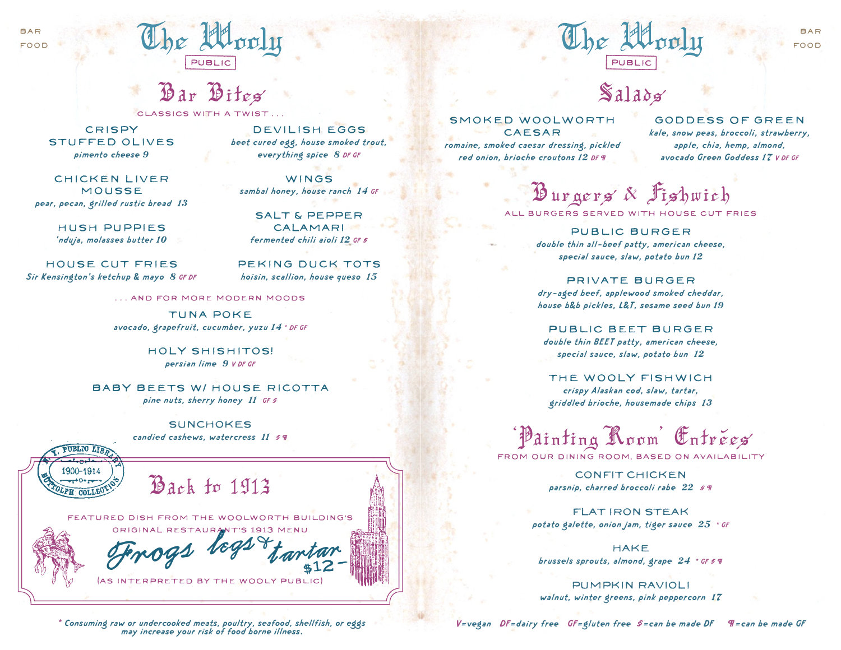

## Bar Bites Salads

CLASSICS WITH A TWIST

**CRISPY** STUFFED OLIVES pimento cheese 9

CHICKEN LIVER MOUSSE pear, pecan, grilled rustic bread 13

> HUSH PUPPIES 'nduja, molasses butter 10

HOUSE CUT FRIES Sir Kensington's ketchup & mayo 8 GF DF

PUBLYO LT

1900-1914

PEKING DUCK TOTS hoisin, scallion, house queso 15

... AND FOR MORE MODERN MOODS

TUNA POKE avocado, grapefruit, cucumber, yuzu 14 \* DF GF

> HOLY SHISHITOS! persian lime 9 *V DF GF*

BABY BEETS w/ HOUSE RICOTTA pine nuts, sherry honey 11 GFS

> **SUNCHOKES** candied cashews, watercress 11 § 9

Back to 1913

featured DISH FROM the woolworth building's ORIGINAL restaurant's 1913 menu

(as interpreted by the wooly public)

Frogs legs & tantar

DEVILISH EGGS beet cured egg, house smoked trout, everything spice 8 DF GF

WINGS sambal honey, house ranch 14 GF

SALT & PEPPER CALAMARI fermented chili aioli 12 GF §

SMOKED WOOLWORTH CAESAR

romaine, smoked caesar dressing, pickled red onion, brioche croutons 12 DF  $\P$ 

GODDESS of GREEN kale, snow peas, broccoli, strawberry, apple, chia, hemp, almond, avocado Green Goddess 17 V DF GF

Burgers & Fishwich

ALL BURGERS SERV

The Mooly

**PUBLIC** 

Public BURGER double thin all-beef patty, american cheese, special sauce, slaw, potato bun 12

prIVATE BURGER dry-aged beef, applewood smoked cheddar, house b&b pickles, L&T, sesame seed bun 19

public beet BURGER double thin BEET patty, american cheese, special sauce, slaw, potato bun 12

THE WOOLY FISHWICH crispy Alaskan cod, slaw, tartar, griddled brioche, housemade chips 13

'Painting Room' Entrées

FROM OUR DINING ROOM, BASED ON AVAIL

CONFIT CHICKEN parsnip, charred broccoli rabe 22 § ¶

FLAT IRON STEAK potato galette, onion jam, tiger sauce  $25$  \* GF

HAKE brussels sprouts, almond, grape 24 \* GF § ¶

PUMPKIN RAVIOLI walnut, winter greens, pink peppercorn 17

\* Consuming raw or undercooked meats, poultry, seafood, shellfish, or eggs V=vegan DF=dairy free GF=gluten free §=can be made DF ¶=can be made GF may increase your risk of food borne illness.

BAR

### FOOD